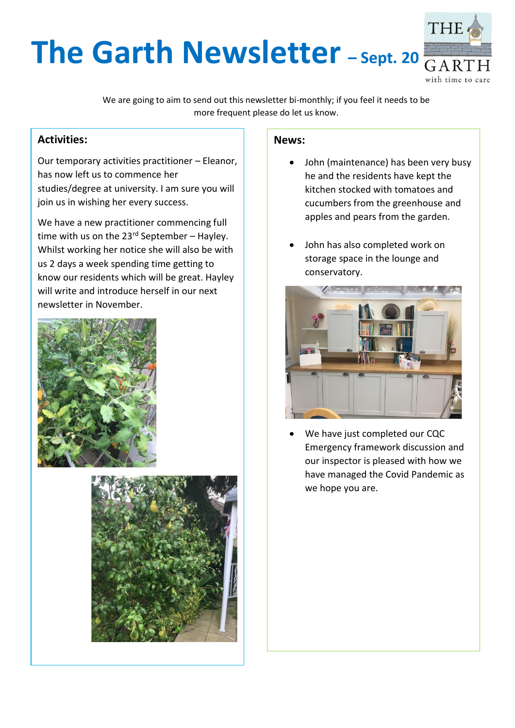# THI **The Garth Newsletter** - Sept. 20 with time to care

We are going to aim to send out this newsletter bi-monthly; if you feel it needs to be more frequent please do let us know.

### **Activities:**

Our temporary activities practitioner – Eleanor, has now left us to commence her studies/degree at university. I am sure you will join us in wishing her every success.

We have a new practitioner commencing full time with us on the  $23<sup>rd</sup>$  September – Hayley. Whilst working her notice she will also be with us 2 days a week spending time getting to know our residents which will be great. Hayley will write and introduce herself in our next newsletter in November.





#### **News:**

- John (maintenance) has been very busy he and the residents have kept the kitchen stocked with tomatoes and cucumbers from the greenhouse and apples and pears from the garden.
- John has also completed work on storage space in the lounge and conservatory.



We have just completed our CQC Emergency framework discussion and our inspector is pleased with how we have managed the Covid Pandemic as we hope you are.